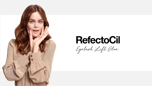

## **RefectoCil**

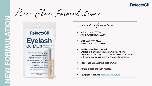New Glue Formulation



General information:

- Article number: 05550 Article number RUS: 05550R
- EAN: 9003877 904960 EAN RUS: 9003877 904977
- New key ingredient: **Shellack**. Shellack is a natural substance which has its own characteristic colouring. This is the reason why the **colour** of the new glue **differs** from the previous formulation.
- Not defined as dangerous good anymore.
- Adhesive force has been increased.
- New product pictures:<https://bit.ly/2Fs2lCR>